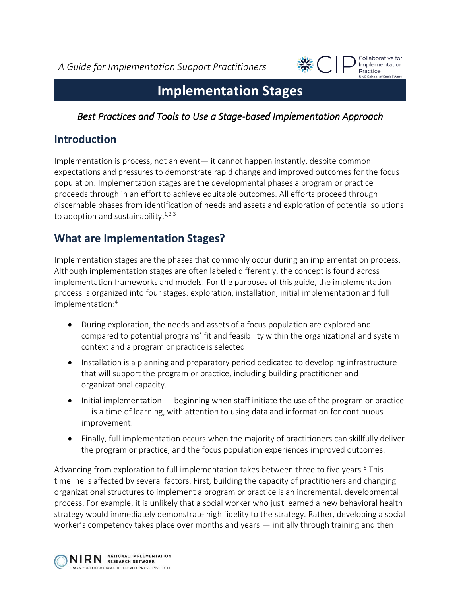*A Guide for Implementation Support Practitioners*



# **Implementation Stages**

### *Best Practices and Tools to Use a Stage-based Implementation Approach*

## **Introduction**

Implementation is process, not an event— it cannot happen instantly, despite common expectations and pressures to demonstrate rapid change and improved outcomes for the focus population. Implementation stages are the developmental phases a program or practice proceeds through in an effort to achieve equitable outcomes. All efforts proceed through discernable phases from identification of needs and assets and exploration of potential solutions to adoption and sustainability.<sup>1,2,3</sup>

## **What are Implementation Stages?**

Implementation stages are the phases that commonly occur during an implementation process. Although implementation stages are often labeled differently, the concept is found across implementation frameworks and models. For the purposes of this guide, the implementation process is organized into four stages: exploration, installation, initial implementation and full implementation: 4

- During exploration, the needs and assets of a focus population are explored and compared to potential programs' fit and feasibility within the organizational and system context and a program or practice is selected.
- Installation is a planning and preparatory period dedicated to developing infrastructure that will support the program or practice, including building practitioner and organizational capacity.
- Initial implementation beginning when staff initiate the use of the program or practice — is a time of learning, with attention to using data and information for continuous improvement.
- Finally, full implementation occurs when the majority of practitioners can skillfully deliver the program or practice, and the focus population experiences improved outcomes.

Advancing from exploration to full implementation takes between three to five years.<sup>5</sup> This timeline is affected by several factors. First, building the capacity of practitioners and changing organizational structures to implement a program or practice is an incremental, developmental process. For example, it is unlikely that a social worker who just learned a new behavioral health strategy would immediately demonstrate high fidelity to the strategy. Rather, developing a social worker's competency takes place over months and years — initially through training and then

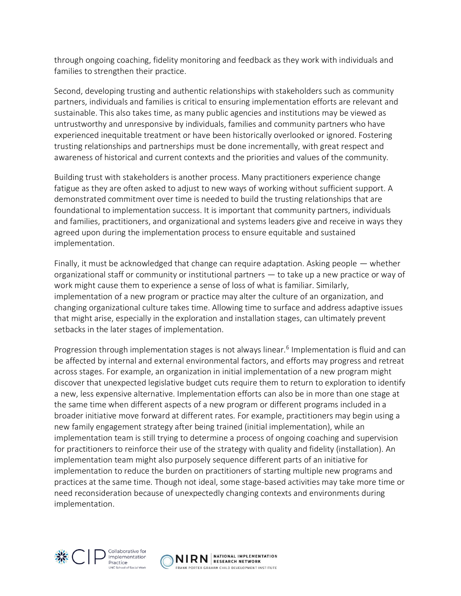through ongoing coaching, fidelity monitoring and feedback as they work with individuals and families to strengthen their practice.

Second, developing trusting and authentic relationships with stakeholders such as community partners, individuals and families is critical to ensuring implementation efforts are relevant and sustainable. This also takes time, as many public agencies and institutions may be viewed as untrustworthy and unresponsive by individuals, families and community partners who have experienced inequitable treatment or have been historically overlooked or ignored. Fostering trusting relationships and partnerships must be done incrementally, with great respect and awareness of historical and current contexts and the priorities and values of the community.

Building trust with stakeholders is another process. Many practitioners experience change fatigue as they are often asked to adjust to new ways of working without sufficient support. A demonstrated commitment over time is needed to build the trusting relationships that are foundational to implementation success. It is important that community partners, individuals and families, practitioners, and organizational and systems leaders give and receive in ways they agreed upon during the implementation process to ensure equitable and sustained implementation.

Finally, it must be acknowledged that change can require adaptation. Asking people — whether organizational staff or community or institutional partners — to take up a new practice or way of work might cause them to experience a sense of loss of what is familiar. Similarly, implementation of a new program or practice may alter the culture of an organization, and changing organizational culture takes time. Allowing time to surface and address adaptive issues that might arise, especially in the exploration and installation stages, can ultimately prevent setbacks in the later stages of implementation.

Progression through implementation stages is not always linear.<sup>6</sup> Implementation is fluid and can be affected by internal and external environmental factors, and efforts may progress and retreat across stages. For example, an organization in initial implementation of a new program might discover that unexpected legislative budget cuts require them to return to exploration to identify a new, less expensive alternative. Implementation efforts can also be in more than one stage at the same time when different aspects of a new program or different programs included in a broader initiative move forward at different rates. For example, practitioners may begin using a new family engagement strategy after being trained (initial implementation), while an implementation team is still trying to determine a process of ongoing coaching and supervision for practitioners to reinforce their use of the strategy with quality and fidelity (installation). An implementation team might also purposely sequence different parts of an initiative for implementation to reduce the burden on practitioners of starting multiple new programs and practices at the same time. Though not ideal, some stage-based activities may take more time or need reconsideration because of unexpectedly changing contexts and environments during implementation.



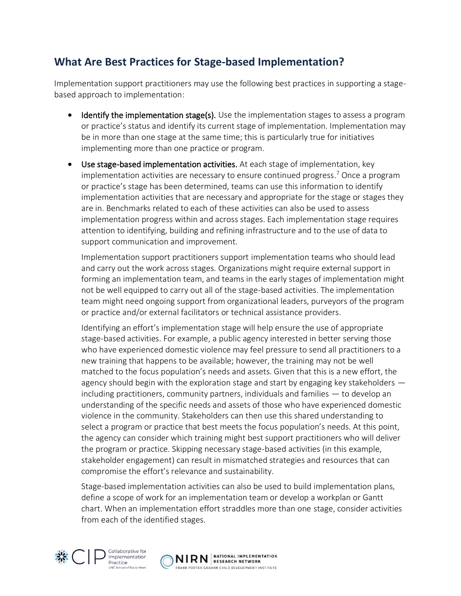## **What Are Best Practices for Stage-based Implementation?**

Implementation support practitioners may use the following best practices in supporting a stagebased approach to implementation:

- Identify the implementation stage(s). Use the implementation stages to assess a program or practice's status and identify its current stage of implementation. Implementation may be in more than one stage at the same time; this is particularly true for initiatives implementing more than one practice or program.
- Use stage-based implementation activities. At each stage of implementation, key implementation activities are necessary to ensure continued progress. <sup>7</sup> Once a program or practice's stage has been determined, teams can use this information to identify implementation activities that are necessary and appropriate for the stage or stages they are in. Benchmarks related to each of these activities can also be used to assess implementation progress within and across stages. Each implementation stage requires attention to identifying, building and refining infrastructure and to the use of data to support communication and improvement.

Implementation support practitioners support implementation teams who should lead and carry out the work across stages. Organizations might require external support in forming an implementation team, and teams in the early stages of implementation might not be well equipped to carry out all of the stage-based activities. The implementation team might need ongoing support from organizational leaders, purveyors of the program or practice and/or external facilitators or technical assistance providers.

Identifying an effort's implementation stage will help ensure the use of appropriate stage-based activities. For example, a public agency interested in better serving those who have experienced domestic violence may feel pressure to send all practitioners to a new training that happens to be available; however, the training may not be well matched to the focus population's needs and assets. Given that this is a new effort, the agency should begin with the exploration stage and start by engaging key stakeholders including practitioners, community partners, individuals and families — to develop an understanding of the specific needs and assets of those who have experienced domestic violence in the community. Stakeholders can then use this shared understanding to select a program or practice that best meets the focus population's needs. At this point, the agency can consider which training might best support practitioners who will deliver the program or practice. Skipping necessary stage-based activities (in this example, stakeholder engagement) can result in mismatched strategies and resources that can compromise the effort's relevance and sustainability.

Stage-based implementation activities can also be used to build implementation plans, define a scope of work for an implementation team or develop a workplan or Gantt chart. When an implementation effort straddles more than one stage, consider activities from each of the identified stages.



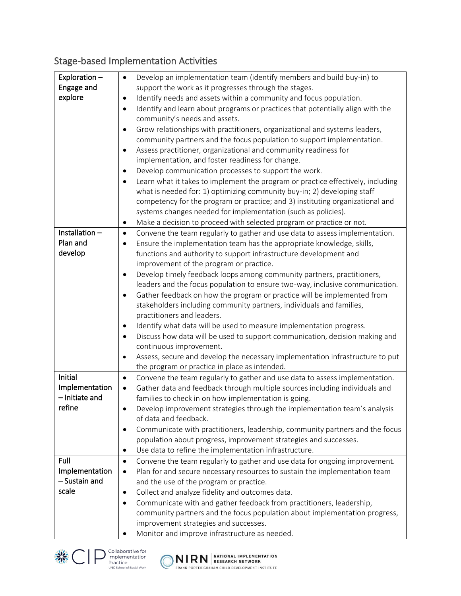# Stage-based Implementation Activities

| Exploration -  | Develop an implementation team (identify members and build buy-in) to<br>$\bullet$           |
|----------------|----------------------------------------------------------------------------------------------|
| Engage and     | support the work as it progresses through the stages.                                        |
| explore        | Identify needs and assets within a community and focus population.<br>٠                      |
|                | Identify and learn about programs or practices that potentially align with the<br>$\bullet$  |
|                | community's needs and assets.                                                                |
|                | Grow relationships with practitioners, organizational and systems leaders,<br>$\bullet$      |
|                | community partners and the focus population to support implementation.                       |
|                | Assess practitioner, organizational and community readiness for<br>$\bullet$                 |
|                | implementation, and foster readiness for change.                                             |
|                | Develop communication processes to support the work.<br>$\bullet$                            |
|                | Learn what it takes to implement the program or practice effectively, including<br>$\bullet$ |
|                | what is needed for: 1) optimizing community buy-in; 2) developing staff                      |
|                | competency for the program or practice; and 3) instituting organizational and                |
|                | systems changes needed for implementation (such as policies).                                |
|                | Make a decision to proceed with selected program or practice or not.<br>٠                    |
| Installation-  | Convene the team regularly to gather and use data to assess implementation.<br>$\bullet$     |
| Plan and       | Ensure the implementation team has the appropriate knowledge, skills,<br>$\bullet$           |
| develop        | functions and authority to support infrastructure development and                            |
|                | improvement of the program or practice.                                                      |
|                | Develop timely feedback loops among community partners, practitioners,<br>$\bullet$          |
|                | leaders and the focus population to ensure two-way, inclusive communication.                 |
|                | Gather feedback on how the program or practice will be implemented from<br>$\bullet$         |
|                | stakeholders including community partners, individuals and families,                         |
|                | practitioners and leaders.                                                                   |
|                | Identify what data will be used to measure implementation progress.<br>$\bullet$             |
|                | Discuss how data will be used to support communication, decision making and<br>$\bullet$     |
|                | continuous improvement.                                                                      |
|                | Assess, secure and develop the necessary implementation infrastructure to put<br>$\bullet$   |
|                | the program or practice in place as intended.                                                |
| Initial        | Convene the team regularly to gather and use data to assess implementation.<br>$\bullet$     |
| Implementation | Gather data and feedback through multiple sources including individuals and<br>$\bullet$     |
| - Initiate and | families to check in on how implementation is going.                                         |
| refine         | Develop improvement strategies through the implementation team's analysis                    |
|                | of data and feedback.                                                                        |
|                | Communicate with practitioners, leadership, community partners and the focus<br>$\bullet$    |
|                | population about progress, improvement strategies and successes.                             |
|                | Use data to refine the implementation infrastructure.<br>٠                                   |
| Full           | Convene the team regularly to gather and use data for ongoing improvement.<br>$\bullet$      |
| Implementation | Plan for and secure necessary resources to sustain the implementation team<br>$\bullet$      |
| - Sustain and  | and the use of the program or practice.                                                      |
| scale          | Collect and analyze fidelity and outcomes data.<br>$\bullet$                                 |
|                | Communicate with and gather feedback from practitioners, leadership,<br>$\bullet$            |
|                | community partners and the focus population about implementation progress,                   |
|                | improvement strategies and successes.                                                        |
|                | Monitor and improve infrastructure as needed.                                                |





 $\big($ 

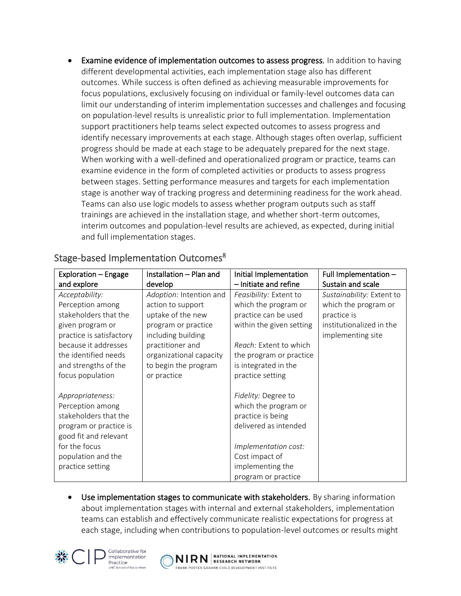Examine evidence of implementation outcomes to assess progress. In addition to having different developmental activities, each implementation stage also has different outcomes. While success is often defined as achieving measurable improvements for focus populations, exclusively focusing on individual or family-level outcomes data can limit our understanding of interim implementation successes and challenges and focusing on population-level results is unrealistic prior to full implementation. Implementation support practitioners help teams select expected outcomes to assess progress and identify necessary improvements at each stage. Although stages often overlap, sufficient progress should be made at each stage to be adequately prepared for the next stage. When working with a well-defined and operationalized program or practice, teams can examine evidence in the form of completed activities or products to assess progress between stages. Setting performance measures and targets for each implementation stage is another way of tracking progress and determining readiness for the work ahead. Teams can also use logic models to assess whether program outputs such as staff trainings are achieved in the installation stage, and whether short-term outcomes, interim outcomes and population-level results are achieved, as expected, during initial and full implementation stages.

| Exploration – Engage     | Installation - Plan and | Initial Implementation   | Full Implementation $-$   |
|--------------------------|-------------------------|--------------------------|---------------------------|
| and explore              | develop                 | - Initiate and refine    | Sustain and scale         |
| Acceptability:           | Adoption: Intention and | Feasibility: Extent to   | Sustainability: Extent to |
| Perception among         | action to support       | which the program or     | which the program or      |
| stakeholders that the    | uptake of the new       | practice can be used     | practice is               |
| given program or         | program or practice     | within the given setting | institutionalized in the  |
| practice is satisfactory | including building      |                          | implementing site         |
| because it addresses     | practitioner and        | Reach: Extent to which   |                           |
| the identified needs     | organizational capacity | the program or practice  |                           |
| and strengths of the     | to begin the program    | is integrated in the     |                           |
| focus population         | or practice             | practice setting         |                           |
|                          |                         |                          |                           |
| Appropriateness:         |                         | Fidelity: Degree to      |                           |
| Perception among         |                         | which the program or     |                           |
| stakeholders that the    |                         | practice is being        |                           |
| program or practice is   |                         | delivered as intended    |                           |
| good fit and relevant    |                         |                          |                           |
| for the focus            |                         | Implementation cost:     |                           |
| population and the       |                         | Cost impact of           |                           |
| practice setting         |                         | implementing the         |                           |
|                          |                         | program or practice      |                           |

### Stage-based Implementation Outcomes<sup>8</sup>

Use implementation stages to communicate with stakeholders. By sharing information about implementation stages with internal and external stakeholders, implementation teams can establish and effectively communicate realistic expectations for progress at each stage, including when contributions to population-level outcomes or results might



Collaborative for Implementation Practice

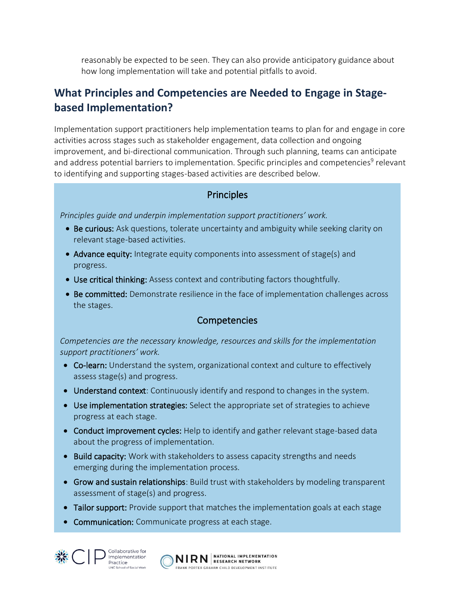reasonably be expected to be seen. They can also provide anticipatory guidance about how long implementation will take and potential pitfalls to avoid.

## **What Principles and Competencies are Needed to Engage in Stagebased Implementation?**

Implementation support practitioners help implementation teams to plan for and engage in core activities across stages such as stakeholder engagement, data collection and ongoing improvement, and bi-directional communication. Through such planning, teams can anticipate and address potential barriers to implementation. Specific principles and competencies<sup>9</sup> relevant to identifying and supporting stages-based activities are described below.

#### **Principles**

*Principles guide and underpin implementation support practitioners' work.* 

- Be curious: Ask questions, tolerate uncertainty and ambiguity while seeking clarity on relevant stage-based activities.
- Advance equity: Integrate equity components into assessment of stage(s) and progress.
- Use critical thinking: Assess context and contributing factors thoughtfully.
- Be committed: Demonstrate resilience in the face of implementation challenges across the stages.

#### Competencies

*Competencies are the necessary knowledge, resources and skills for the implementation support practitioners' work.* 

- Co-learn: Understand the system, organizational context and culture to effectively assess stage(s) and progress.
- Understand context: Continuously identify and respond to changes in the system.
- Use implementation strategies: Select the appropriate set of strategies to achieve progress at each stage.
- Conduct improvement cycles: Help to identify and gather relevant stage-based data about the progress of implementation.
- Build capacity: Work with stakeholders to assess capacity strengths and needs emerging during the implementation process.
- Grow and sustain relationships: Build trust with stakeholders by modeling transparent assessment of stage(s) and progress.
- Tailor support: Provide support that matches the implementation goals at each stage
- Communication: Communicate progress at each stage.